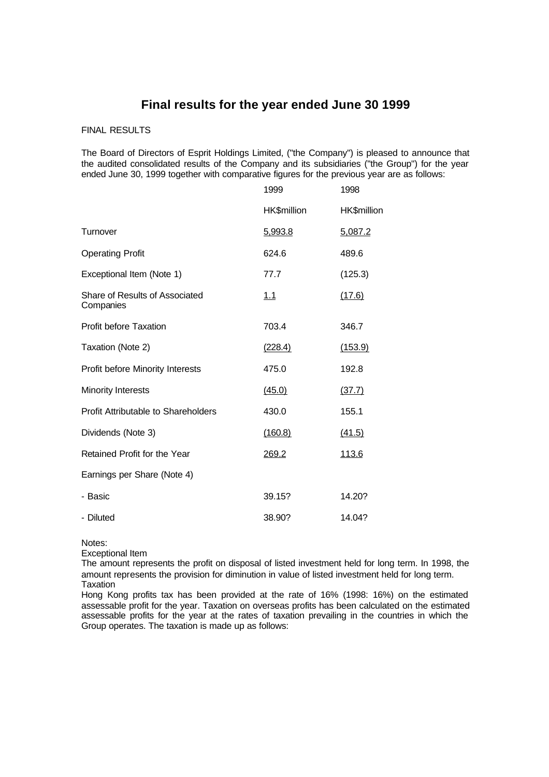# **Final results for the year ended June 30 1999**

# FINAL RESULTS

The Board of Directors of Esprit Holdings Limited, ("the Company") is pleased to announce that the audited consolidated results of the Company and its subsidiaries ("the Group") for the year ended June 30, 1999 together with comparative figures for the previous year are as follows:

|                                             | 1999        | 1998        |
|---------------------------------------------|-------------|-------------|
|                                             | HK\$million | HK\$million |
| Turnover                                    | 5,993.8     | 5,087.2     |
| <b>Operating Profit</b>                     | 624.6       | 489.6       |
| Exceptional Item (Note 1)                   | 77.7        | (125.3)     |
| Share of Results of Associated<br>Companies | 1.1         | (17.6)      |
| <b>Profit before Taxation</b>               | 703.4       | 346.7       |
| Taxation (Note 2)                           | (228.4)     | (153.9)     |
| Profit before Minority Interests            | 475.0       | 192.8       |
| <b>Minority Interests</b>                   | (45.0)      | (37.7)      |
| <b>Profit Attributable to Shareholders</b>  | 430.0       | 155.1       |
| Dividends (Note 3)                          | (160.8)     | (41.5)      |
| Retained Profit for the Year                | 269.2       | 113.6       |
| Earnings per Share (Note 4)                 |             |             |
| - Basic                                     | 39.15?      | 14.20?      |
| - Diluted                                   | 38.90?      | 14.04?      |

Notes:

Exceptional Item

The amount represents the profit on disposal of listed investment held for long term. In 1998, the amount represents the provision for diminution in value of listed investment held for long term. **Taxation** 

Hong Kong profits tax has been provided at the rate of 16% (1998: 16%) on the estimated assessable profit for the year. Taxation on overseas profits has been calculated on the estimated assessable profits for the year at the rates of taxation prevailing in the countries in which the Group operates. The taxation is made up as follows: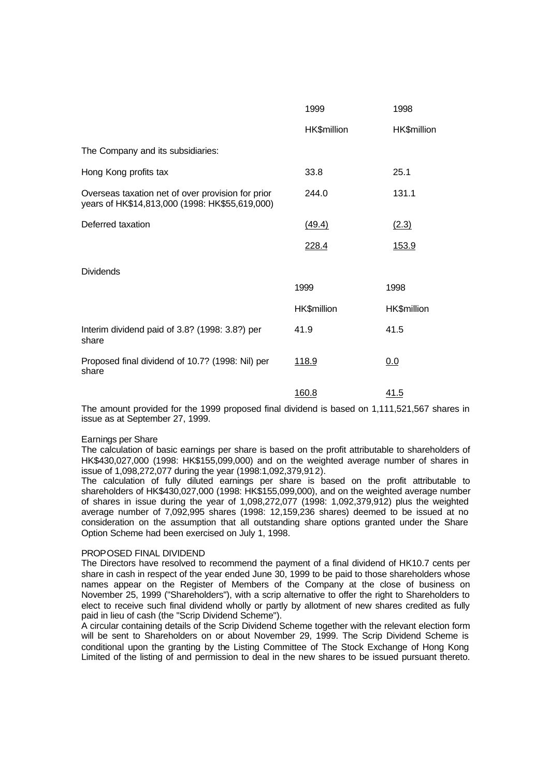|                                                                                                     | 1999        | 1998        |
|-----------------------------------------------------------------------------------------------------|-------------|-------------|
|                                                                                                     | HK\$million | HK\$million |
| The Company and its subsidiaries:                                                                   |             |             |
| Hong Kong profits tax                                                                               | 33.8        | 25.1        |
| Overseas taxation net of over provision for prior<br>years of HK\$14,813,000 (1998: HK\$55,619,000) | 244.0       | 131.1       |
| Deferred taxation                                                                                   | (49.4)      | (2.3)       |
|                                                                                                     | 228.4       | 153.9       |
| <b>Dividends</b>                                                                                    |             |             |
|                                                                                                     | 1999        | 1998        |
|                                                                                                     | HK\$million | HK\$million |
| Interim dividend paid of 3.8? (1998: 3.8?) per<br>share                                             | 41.9        | 41.5        |
| Proposed final dividend of 10.7? (1998: Nil) per<br>share                                           | 118.9       | 0.0         |
|                                                                                                     | 160.8       | 41.5        |

The amount provided for the 1999 proposed final dividend is based on 1,111,521,567 shares in issue as at September 27, 1999.

#### Earnings per Share

The calculation of basic earnings per share is based on the profit attributable to shareholders of HK\$430,027,000 (1998: HK\$155,099,000) and on the weighted average number of shares in issue of 1,098,272,077 during the year (1998:1,092,379,912).

The calculation of fully diluted earnings per share is based on the profit attributable to shareholders of HK\$430,027,000 (1998: HK\$155,099,000), and on the weighted average number of shares in issue during the year of 1,098,272,077 (1998: 1,092,379,912) plus the weighted average number of 7,092,995 shares (1998: 12,159,236 shares) deemed to be issued at no consideration on the assumption that all outstanding share options granted under the Share Option Scheme had been exercised on July 1, 1998.

#### PROPOSED FINAL DIVIDEND

The Directors have resolved to recommend the payment of a final dividend of HK10.7 cents per share in cash in respect of the year ended June 30, 1999 to be paid to those shareholders whose names appear on the Register of Members of the Company at the close of business on November 25, 1999 ("Shareholders"), with a scrip alternative to offer the right to Shareholders to elect to receive such final dividend wholly or partly by allotment of new shares credited as fully paid in lieu of cash (the "Scrip Dividend Scheme").

A circular containing details of the Scrip Dividend Scheme together with the relevant election form will be sent to Shareholders on or about November 29, 1999. The Scrip Dividend Scheme is conditional upon the granting by the Listing Committee of The Stock Exchange of Hong Kong Limited of the listing of and permission to deal in the new shares to be issued pursuant thereto.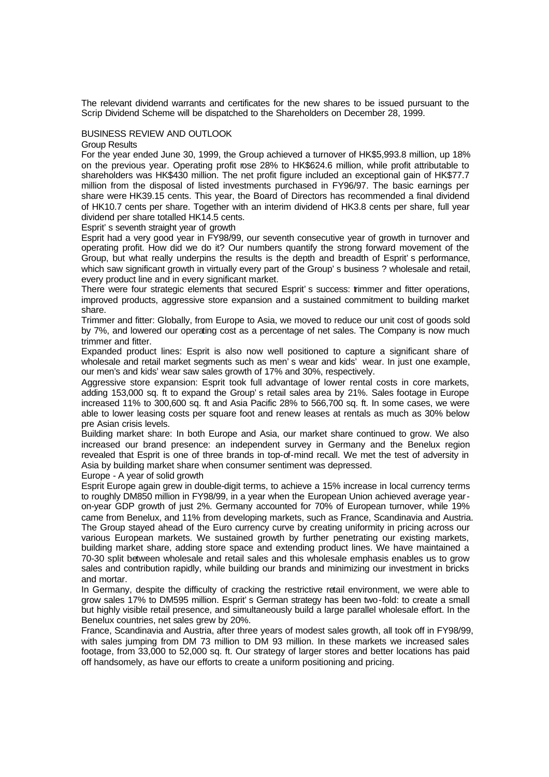The relevant dividend warrants and certificates for the new shares to be issued pursuant to the Scrip Dividend Scheme will be dispatched to the Shareholders on December 28, 1999.

## BUSINESS REVIEW AND OUTLOOK

#### Group Results

For the year ended June 30, 1999, the Group achieved a turnover of HK\$5,993.8 million, up 18% on the previous year. Operating profit rose 28% to HK\$624.6 million, while profit attributable to shareholders was HK\$430 million. The net profit figure included an exceptional gain of HK\$77.7 million from the disposal of listed investments purchased in FY96/97. The basic earnings per share were HK39.15 cents. This year, the Board of Directors has recommended a final dividend of HK10.7 cents per share. Together with an interim dividend of HK3.8 cents per share, full year dividend per share totalled HK14.5 cents.

## Esprit's seventh straight year of growth

Esprit had a very good year in FY98/99, our seventh consecutive year of growth in turnover and operating profit. How did we do it? Our numbers quantify the strong forward movement of the Group, but what really underpins the results is the depth and breadth of Esprit's performance, which saw significant growth in virtually every part of the Group's business ? wholesale and retail, every product line and in every significant market.

There were four strategic elements that secured Esprit's success: trimmer and fitter operations, improved products, aggressive store expansion and a sustained commitment to building market share.

Trimmer and fitter: Globally, from Europe to Asia, we moved to reduce our unit cost of goods sold by 7%, and lowered our operating cost as a percentage of net sales. The Company is now much trimmer and fitter.

Expanded product lines: Esprit is also now well positioned to capture a significant share of wholesale and retail market segments such as men's wear and kids' wear. In just one example, our men's and kids' wear saw sales growth of 17% and 30%, respectively.

Aggressive store expansion: Esprit took full advantage of lower rental costs in core markets, adding 153,000 sq. ft to expand the Group's retail sales area by 21%. Sales footage in Europe increased 11% to 300,600 sq. ft and Asia Pacific 28% to 566,700 sq. ft. In some cases, we were able to lower leasing costs per square foot and renew leases at rentals as much as 30% below pre Asian crisis levels.

Building market share: In both Europe and Asia, our market share continued to grow. We also increased our brand presence: an independent survey in Germany and the Benelux region revealed that Esprit is one of three brands in top-of-mind recall. We met the test of adversity in Asia by building market share when consumer sentiment was depressed.

Europe - A year of solid growth

Esprit Europe again grew in double-digit terms, to achieve a 15% increase in local currency terms to roughly DM850 million in FY98/99, in a year when the European Union achieved average yearon-year GDP growth of just 2%. Germany accounted for 70% of European turnover, while 19% came from Benelux, and 11% from developing markets, such as France, Scandinavia and Austria. The Group stayed ahead of the Euro currency curve by creating uniformity in pricing across our various European markets. We sustained growth by further penetrating our existing markets, building market share, adding store space and extending product lines. We have maintained a 70-30 split between wholesale and retail sales and this wholesale emphasis enables us to grow sales and contribution rapidly, while building our brands and minimizing our investment in bricks and mortar.

In Germany, despite the difficulty of cracking the restrictive retail environment, we were able to grow sales 17% to DM595 million. Esprit's German strategy has been two-fold: to create a small but highly visible retail presence, and simultaneously build a large parallel wholesale effort. In the Benelux countries, net sales grew by 20%.

France, Scandinavia and Austria, after three years of modest sales growth, all took off in FY98/99, with sales jumping from DM 73 million to DM 93 million. In these markets we increased sales footage, from 33,000 to 52,000 sq. ft. Our strategy of larger stores and better locations has paid off handsomely, as have our efforts to create a uniform positioning and pricing.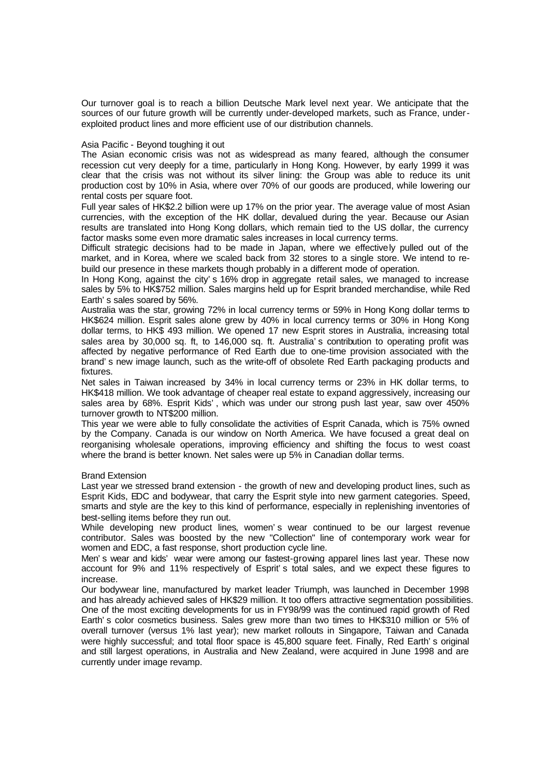Our turnover goal is to reach a billion Deutsche Mark level next year. We anticipate that the sources of our future growth will be currently under-developed markets, such as France, underexploited product lines and more efficient use of our distribution channels.

## Asia Pacific - Beyond toughing it out

The Asian economic crisis was not as widespread as many feared, although the consumer recession cut very deeply for a time, particularly in Hong Kong. However, by early 1999 it was clear that the crisis was not without its silver lining: the Group was able to reduce its unit production cost by 10% in Asia, where over 70% of our goods are produced, while lowering our rental costs per square foot.

Full year sales of HK\$2.2 billion were up 17% on the prior year. The average value of most Asian currencies, with the exception of the HK dollar, devalued during the year. Because our Asian results are translated into Hong Kong dollars, which remain tied to the US dollar, the currency factor masks some even more dramatic sales increases in local currency terms.

Difficult strategic decisions had to be made in Japan, where we effectively pulled out of the market, and in Korea, where we scaled back from 32 stores to a single store. We intend to rebuild our presence in these markets though probably in a different mode of operation.

In Hong Kong, against the city's 16% drop in aggregate retail sales, we managed to increase sales by 5% to HK\$752 million. Sales margins held up for Esprit branded merchandise, while Red Earth's sales soared by 56%.

Australia was the star, growing 72% in local currency terms or 59% in Hong Kong dollar terms to HK\$624 million. Esprit sales alone grew by 40% in local currency terms or 30% in Hong Kong dollar terms, to HK\$ 493 million. We opened 17 new Esprit stores in Australia, increasing total sales area by 30,000 sq. ft, to 146,000 sq. ft. Australia's contribution to operating profit was affected by negative performance of Red Earth due to one-time provision associated with the brand's new image launch, such as the write-off of obsolete Red Earth packaging products and fixtures.

Net sales in Taiwan increased by 34% in local currency terms or 23% in HK dollar terms, to HK\$418 million. We took advantage of cheaper real estate to expand aggressively, increasing our sales area by 68%. Esprit Kids', which was under our strong push last year, saw over 450% turnover growth to NT\$200 million.

This year we were able to fully consolidate the activities of Esprit Canada, which is 75% owned by the Company. Canada is our window on North America. We have focused a great deal on reorganising wholesale operations, improving efficiency and shifting the focus to west coast where the brand is better known. Net sales were up 5% in Canadian dollar terms.

#### Brand Extension

Last year we stressed brand extension - the growth of new and developing product lines, such as Esprit Kids, EDC and bodywear, that carry the Esprit style into new garment categories. Speed, smarts and style are the key to this kind of performance, especially in replenishing inventories of best-selling items before they run out.

While developing new product lines, women's wear continued to be our largest revenue contributor. Sales was boosted by the new "Collection" line of contemporary work wear for women and EDC, a fast response, short production cycle line.

Men's wear and kids' wear were among our fastest-growing apparel lines last year. These now account for 9% and 11% respectively of Esprit's total sales, and we expect these figures to increase.

Our bodywear line, manufactured by market leader Triumph, was launched in December 1998 and has already achieved sales of HK\$29 million. It too offers attractive segmentation possibilities. One of the most exciting developments for us in FY98/99 was the continued rapid growth of Red Earth's color cosmetics business. Sales grew more than two times to HK\$310 million or 5% of overall turnover (versus 1% last year); new market rollouts in Singapore, Taiwan and Canada were highly successful; and total floor space is 45,800 square feet. Finally, Red Earth's original and still largest operations, in Australia and New Zealand, were acquired in June 1998 and are currently under image revamp.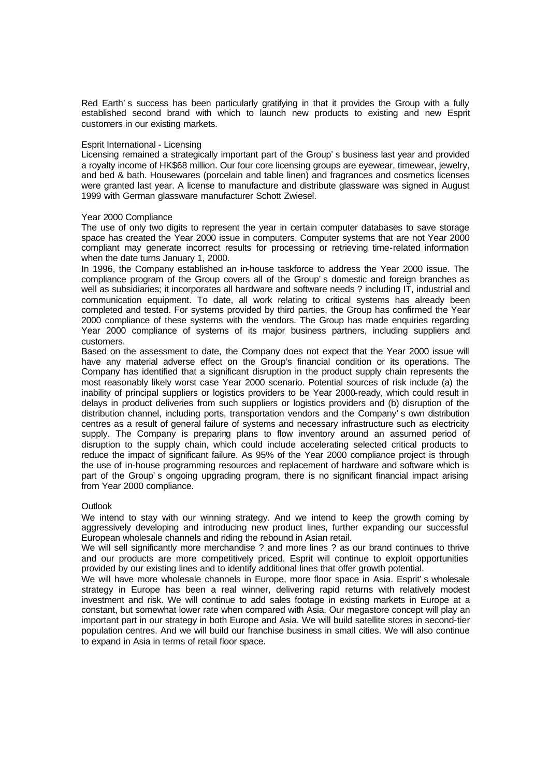Red Earth's success has been particularly gratifying in that it provides the Group with a fully established second brand with which to launch new products to existing and new Esprit customers in our existing markets.

### Esprit International - Licensing

Licensing remained a strategically important part of the Group's business last year and provided a royalty income of HK\$68 million. Our four core licensing groups are eyewear, timewear, jewelry, and bed & bath. Housewares (porcelain and table linen) and fragrances and cosmetics licenses were granted last year. A license to manufacture and distribute glassware was signed in August 1999 with German glassware manufacturer Schott Zwiesel.

#### Year 2000 Compliance

The use of only two digits to represent the year in certain computer databases to save storage space has created the Year 2000 issue in computers. Computer systems that are not Year 2000 compliant may generate incorrect results for processing or retrieving time-related information when the date turns January 1, 2000.

In 1996, the Company established an in-house taskforce to address the Year 2000 issue. The compliance program of the Group covers all of the Group's domestic and foreign branches as well as subsidiaries; it incorporates all hardware and software needs ? including IT, industrial and communication equipment. To date, all work relating to critical systems has already been completed and tested. For systems provided by third parties, the Group has confirmed the Year 2000 compliance of these systems with the vendors. The Group has made enquiries regarding Year 2000 compliance of systems of its major business partners, including suppliers and customers.

Based on the assessment to date, the Company does not expect that the Year 2000 issue will have any material adverse effect on the Group's financial condition or its operations. The Company has identified that a significant disruption in the product supply chain represents the most reasonably likely worst case Year 2000 scenario. Potential sources of risk include (a) the inability of principal suppliers or logistics providers to be Year 2000-ready, which could result in delays in product deliveries from such suppliers or logistics providers and (b) disruption of the distribution channel, including ports, transportation vendors and the Company's own distribution centres as a result of general failure of systems and necessary infrastructure such as electricity supply. The Company is preparing plans to flow inventory around an assumed period of disruption to the supply chain, which could include accelerating selected critical products to reduce the impact of significant failure. As 95% of the Year 2000 compliance project is through the use of in-house programming resources and replacement of hardware and software which is part of the Group's ongoing upgrading program, there is no significant financial impact arising from Year 2000 compliance.

# **Outlook**

We intend to stay with our winning strategy. And we intend to keep the growth coming by aggressively developing and introducing new product lines, further expanding our successful European wholesale channels and riding the rebound in Asian retail.

We will sell significantly more merchandise ? and more lines ? as our brand continues to thrive and our products are more competitively priced. Esprit will continue to exploit opportunities provided by our existing lines and to identify additional lines that offer growth potential.

We will have more wholesale channels in Europe, more floor space in Asia. Esprit's wholesale strategy in Europe has been a real winner, delivering rapid returns with relatively modest investment and risk. We will continue to add sales footage in existing markets in Europe at a constant, but somewhat lower rate when compared with Asia. Our megastore concept will play an important part in our strategy in both Europe and Asia. We will build satellite stores in second-tier population centres. And we will build our franchise business in small cities. We will also continue to expand in Asia in terms of retail floor space.